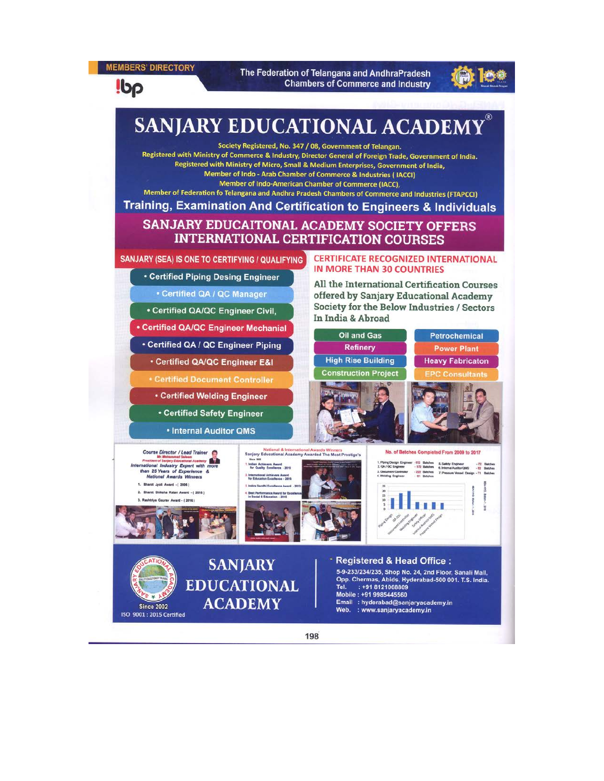**MEMBERS' DIRECTORY** 

The Federation of Telangana and AndhraPradesh **Chambers of Commerce and Industry** 



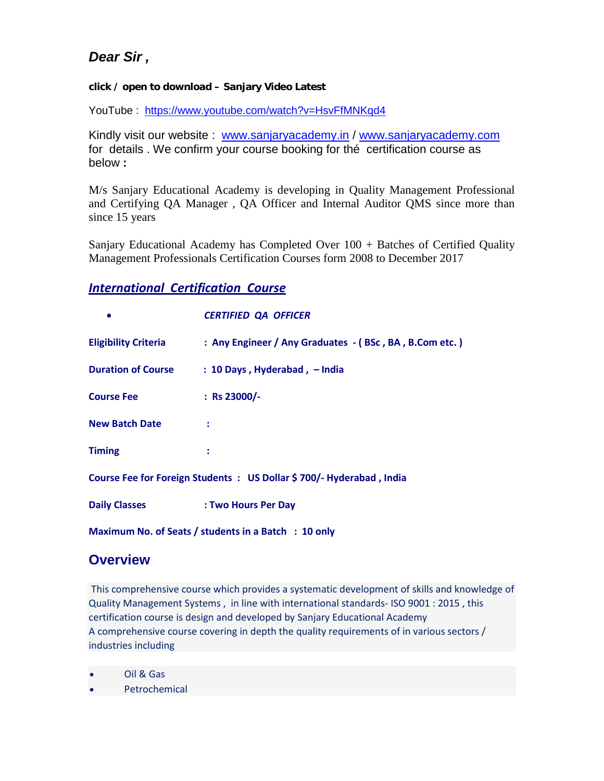# *Dear Sir ,*

### **click / open to download – Sanjary Video Latest**

YouTube : <https://www.youtube.com/watch?v=HsvFfMNKqd4>

Kindly visit our website : [www.sanjaryacademy.in](http://www.sanjaryacademy.in/) / [www.sanjaryacademy.com](http://www.sanjaryacademy.com/) for details . We confirm your course booking for thé certification course as below **:**

M/s Sanjary Educational Academy is developing in Quality Management Professional and Certifying QA Manager , QA Officer and Internal Auditor QMS since more than since 15 years

Sanjary Educational Academy has Completed Over 100 + Batches of Certified Quality Management Professionals Certification Courses form 2008 to December 2017

### *International Certification Course*

|                                                                     | <b>CERTIFIED QA OFFICER</b>                            |
|---------------------------------------------------------------------|--------------------------------------------------------|
| <b>Eligibility Criteria</b>                                         | : Any Engineer / Any Graduates - (BSc, BA, B.Com etc.) |
| <b>Duration of Course</b>                                           | $: 10$ Days, Hyderabad, $-$ India                      |
| <b>Course Fee</b>                                                   | : Rs 23000/-                                           |
| <b>New Batch Date</b>                                               |                                                        |
| <b>Timing</b>                                                       |                                                        |
| Course Fee for Foreign Students: US Dollar \$700/- Hyderabad, India |                                                        |
| <b>Daily Classes</b>                                                | : Two Hours Per Day                                    |
| Maximum No. of Seats / students in a Batch : 10 only                |                                                        |

## **Overview**

This comprehensive course which provides a systematic development of skills and knowledge of Quality Management Systems , in line with international standards- ISO 9001 : 2015 , this certification course is design and developed by [Sanjary Educational Academy](http://www.sanjaryacademy.com/) A comprehensive course covering in depth the quality requirements of in various sectors / industries including

• Oil & Gas

**Petrochemical**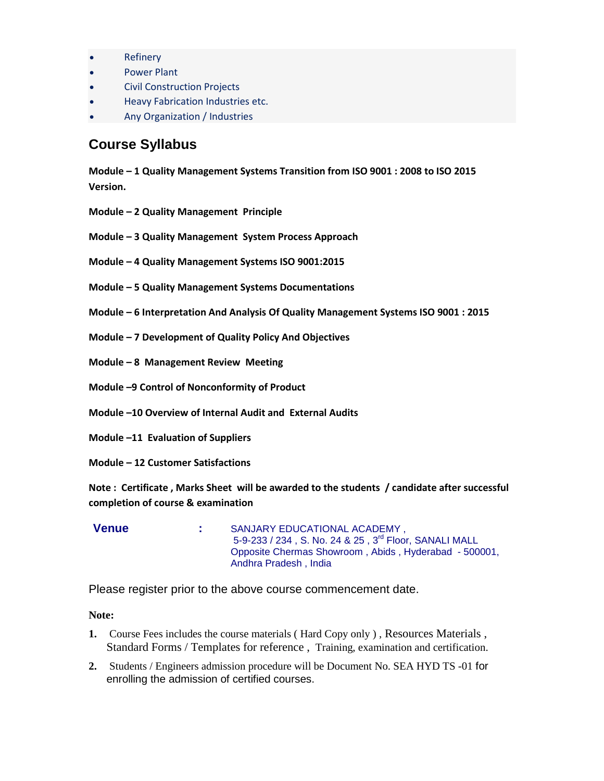- **Refinery**
- Power Plant
- Civil Construction Projects
- Heavy Fabrication Industries etc.
- Any Organization / Industries

## **Course Syllabus**

**Module – 1 Quality Management Systems Transition from ISO 9001 : 2008 to ISO 2015 Version.**

- **Module – 2 Quality Management Principle**
- **Module – 3 Quality Management System Process Approach**
- **Module – 4 Quality Management Systems ISO 9001:2015**
- **Module – 5 Quality Management Systems Documentations**
- **Module – 6 Interpretation And Analysis Of Quality Management Systems ISO 9001 : 2015**
- **Module – 7 Development of Quality Policy And Objectives**
- **Module – 8 Management Review Meeting**
- **Module –9 Control of Nonconformity of Product**
- **Module –10 Overview of Internal Audit and External Audits**
- **Module –11 Evaluation of Suppliers**
- **Module – 12 Customer Satisfactions**

**Note : Certificate , Marks Sheet will be awarded to the students / candidate after successful completion of course & examination** 

**Venue :** SANJARY EDUCATIONAL ACADEMY , 5-9-233 / 234 , S. No. 24 & 25 , 3rd Floor, SANALI MALL Opposite Chermas Showroom , Abids , Hyderabad - 500001, Andhra Pradesh , India

Please register prior to the above course commencement date.

### **Note:**

- **1.** Course Fees includes the course materials ( Hard Copy only ) , Resources Materials , Standard Forms / Templates for reference , Training, examination and certification.
- **2.** Students / Engineers admission procedure will be Document No. SEA HYD TS -01 for enrolling the admission of certified courses.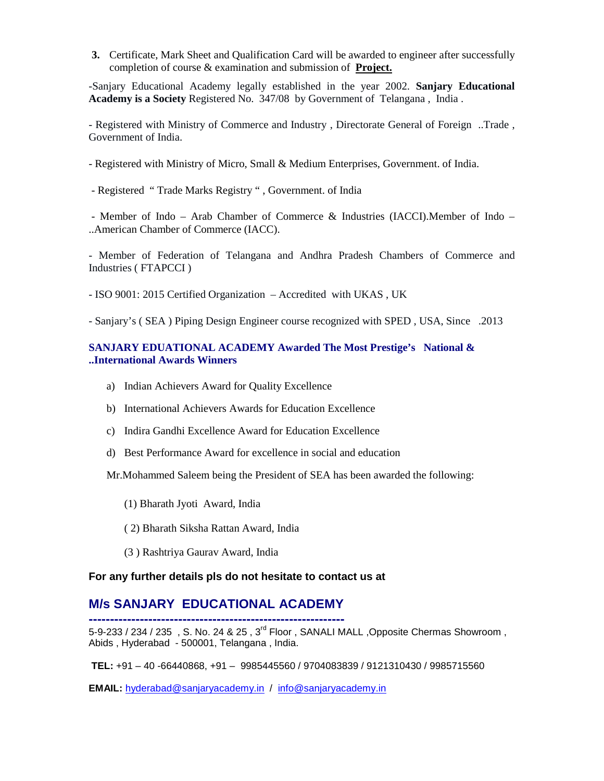**3.** Certificate, Mark Sheet and Qualification Card will be awarded to engineer after successfully completion of course & examination and submission of **Project.**

-Sanjary Educational Academy legally established in the year 2002. **Sanjary Educational Academy is a Society** Registered No. 347/08 by Government of Telangana , India .

- Registered with Ministry of Commerce and Industry , Directorate General of Foreign ..Trade , Government of India.

- Registered with Ministry of Micro, Small & Medium Enterprises, Government. of India.

- Registered " Trade Marks Registry " , Government. of India

- Member of Indo – Arab Chamber of Commerce & Industries (IACCI).Member of Indo – ..American Chamber of Commerce (IACC).

- Member of Federation of Telangana and Andhra Pradesh Chambers of Commerce and Industries ( FTAPCCI )

- ISO 9001: 2015 Certified Organization – Accredited with UKAS , UK

- Sanjary's ( SEA ) Piping Design Engineer course recognized with SPED , USA, Since .2013

### **SANJARY EDUATIONAL ACADEMY Awarded The Most Prestige's National & ..International Awards Winners**

- a) Indian Achievers Award for Quality Excellence
- b) International Achievers Awards for Education Excellence
- c) Indira Gandhi Excellence Award for Education Excellence
- d) Best Performance Award for excellence in social and education

Mr.Mohammed Saleem being the President of SEA has been awarded the following:

- (1) Bharath Jyoti Award, India
- ( 2) Bharath Siksha Rattan Award, India
- (3 ) Rashtriya Gaurav Award, India

#### **For any further details pls do not hesitate to contact us at**

## **M/s SANJARY EDUCATIONAL ACADEMY**

**------------------------------------------------------------** 5-9-233 / 234 / 235 , S. No. 24 & 25 , 3<sup>rd</sup> Floor , SANALI MALL ,Opposite Chermas Showroom , Abids , Hyderabad - 500001, Telangana , India.

**TEL:** +91 – 40 -66440868, +91 – 9985445560 / 9704083839 / 9121310430 / 9985715560

**EMAIL:** [hyderabad@sanjaryacademy.in](mailto:hyderabad@sanjaryacademy.in) / [info@sanjaryacademy.in](mailto:info@sanjaryacademy.in)